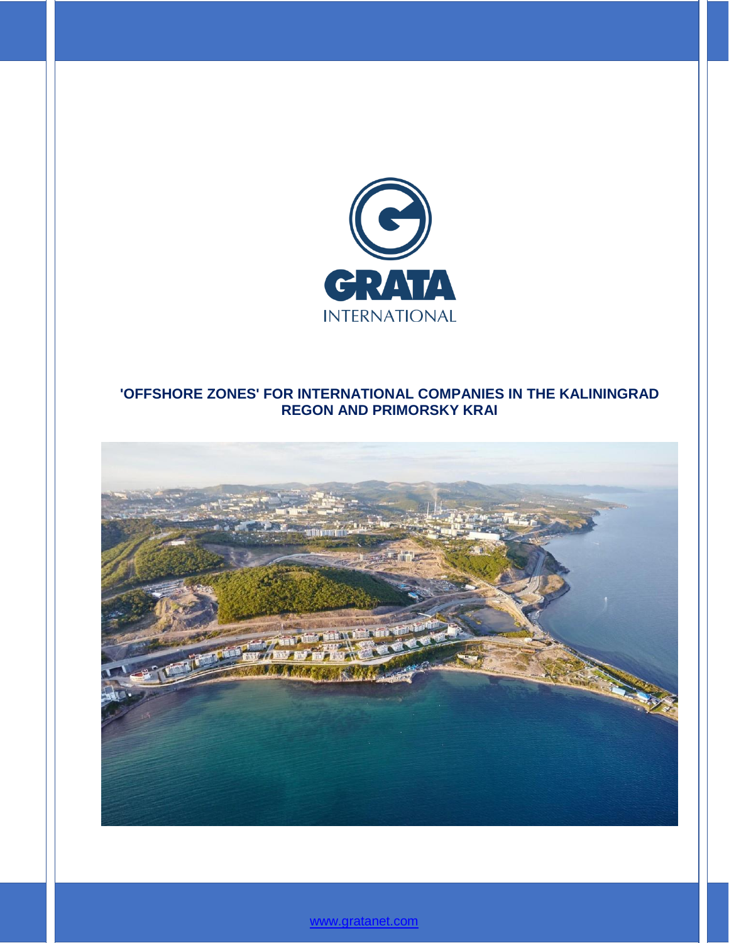

# **'OFFSHORE ZONES' FOR INTERNATIONAL COMPANIES IN THE KALININGRAD REGON AND PRIMORSKY KRAI**



[www.gratanet.com](file:///C:/Users/ADukenbayeva/AppData/Roaming/Microsoft/Word/www.gratanet.com)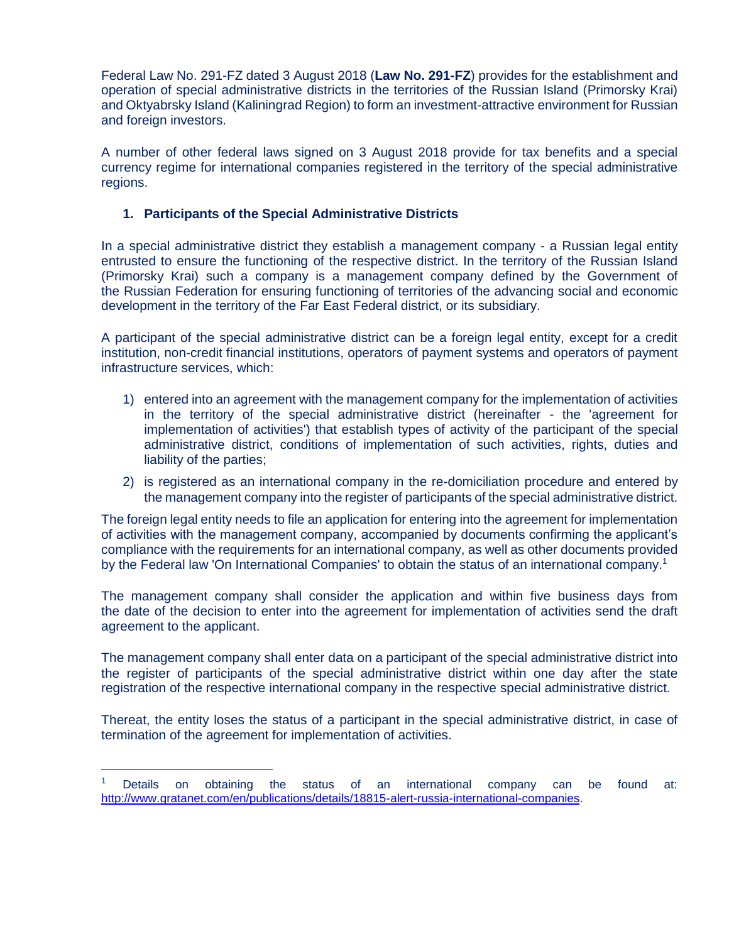Federal Law No. 291-FZ dated 3 August 2018 (**Law No. 291-FZ**) provides for the establishment and operation of special administrative districts in the territories of the Russian Island (Primorsky Krai) and Oktyabrsky Island (Kaliningrad Region) to form an investment-attractive environment for Russian and foreign investors.

A number of other federal laws signed on 3 August 2018 provide for tax benefits and a special currency regime for international companies registered in the territory of the special administrative regions.

# **1. Participants of the Special Administrative Districts**

In a special administrative district they establish a management company - a Russian legal entity entrusted to ensure the functioning of the respective district. In the territory of the Russian Island (Primorsky Krai) such a company is a management company defined by the Government of the Russian Federation for ensuring functioning of territories of the advancing social and economic development in the territory of the Far East Federal district, or its subsidiary.

A participant of the special administrative district can be a foreign legal entity, except for a credit institution, non-credit financial institutions, operators of payment systems and operators of payment infrastructure services, which:

- 1) entered into an agreement with the management company for the implementation of activities in the territory of the special administrative district (hereinafter - the 'agreement for implementation of activities') that establish types of activity of the participant of the special administrative district, conditions of implementation of such activities, rights, duties and liability of the parties;
- 2) is registered as an international company in the re-domiciliation procedure and entered by the management company into the register of participants of the special administrative district.

The foreign legal entity needs to file an application for entering into the agreement for implementation of activities with the management company, accompanied by documents confirming the applicant's compliance with the requirements for an international company, as well as other documents provided by the Federal law 'On International Companies' to obtain the status of an international company.<sup>1</sup>

The management company shall consider the application and within five business days from the date of the decision to enter into the agreement for implementation of activities send the draft agreement to the applicant.

The management company shall enter data on a participant of the special administrative district into the register of participants of the special administrative district within one day after the state registration of the respective international company in the respective special administrative district.

Thereat, the entity loses the status of a participant in the special administrative district, in case of termination of the agreement for implementation of activities.

 $\overline{a}$ 

<sup>&</sup>lt;sup>1</sup> Details on obtaining the status of an international company can be found at: [http://www.gratanet.com/en/publications/details/18815-alert-russia-international-companies.](http://www.gratanet.com/en/publications/details/18815-alert-russia-international-companies)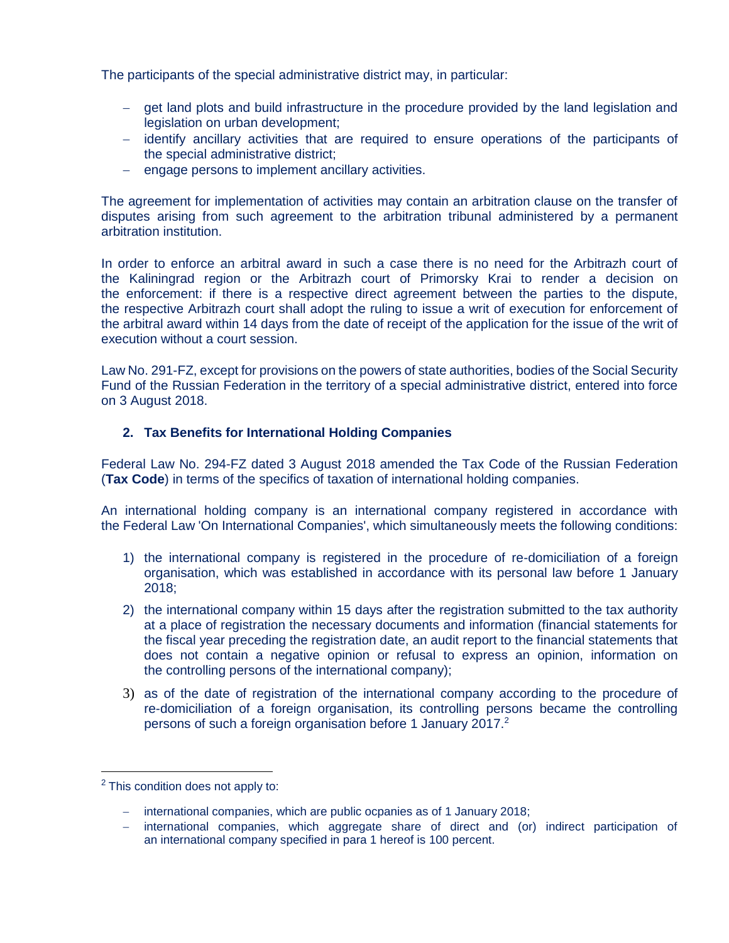The participants of the special administrative district may, in particular:

- get land plots and build infrastructure in the procedure provided by the land legislation and legislation on urban development;
- identify ancillary activities that are required to ensure operations of the participants of the special administrative district;
- engage persons to implement ancillary activities.

The agreement for implementation of activities may contain an arbitration clause on the transfer of disputes arising from such agreement to the arbitration tribunal administered by a permanent arbitration institution.

In order to enforce an arbitral award in such a case there is no need for the Arbitrazh court of the Kaliningrad region or the Arbitrazh court of Primorsky Krai to render a decision on the enforcement: if there is a respective direct agreement between the parties to the dispute, the respective Arbitrazh court shall adopt the ruling to issue a writ of execution for enforcement of the arbitral award within 14 days from the date of receipt of the application for the issue of the writ of execution without a court session.

Law No. 291-FZ, except for provisions on the powers of state authorities, bodies of the Social Security Fund of the Russian Federation in the territory of a special administrative district, entered into force on 3 August 2018.

# **2. Tax Benefits for International Holding Companies**

Federal Law No. 294-FZ dated 3 August 2018 amended the Tax Code of the Russian Federation (**Tax Code**) in terms of the specifics of taxation of international holding companies.

An international holding company is an international company registered in accordance with the Federal Law 'On International Companies', which simultaneously meets the following conditions:

- 1) the international company is registered in the procedure of re-domiciliation of a foreign organisation, which was established in accordance with its personal law before 1 January 2018;
- 2) the international company within 15 days after the registration submitted to the tax authority at a place of registration the necessary documents and information (financial statements for the fiscal year preceding the registration date, an audit report to the financial statements that does not contain a negative opinion or refusal to express an opinion, information on the controlling persons of the international company);
- 3) as of the date of registration of the international company according to the procedure of re-domiciliation of a foreign organisation, its controlling persons became the controlling persons of such a foreign organisation before 1 January 2017.<sup>2</sup>

 $\overline{a}$ 

 $2$  This condition does not apply to:

<sup>-</sup> international companies, which are public ocpanies as of 1 January 2018;

international companies, which aggregate share of direct and (or) indirect participation of an international company specified in para 1 hereof is 100 percent.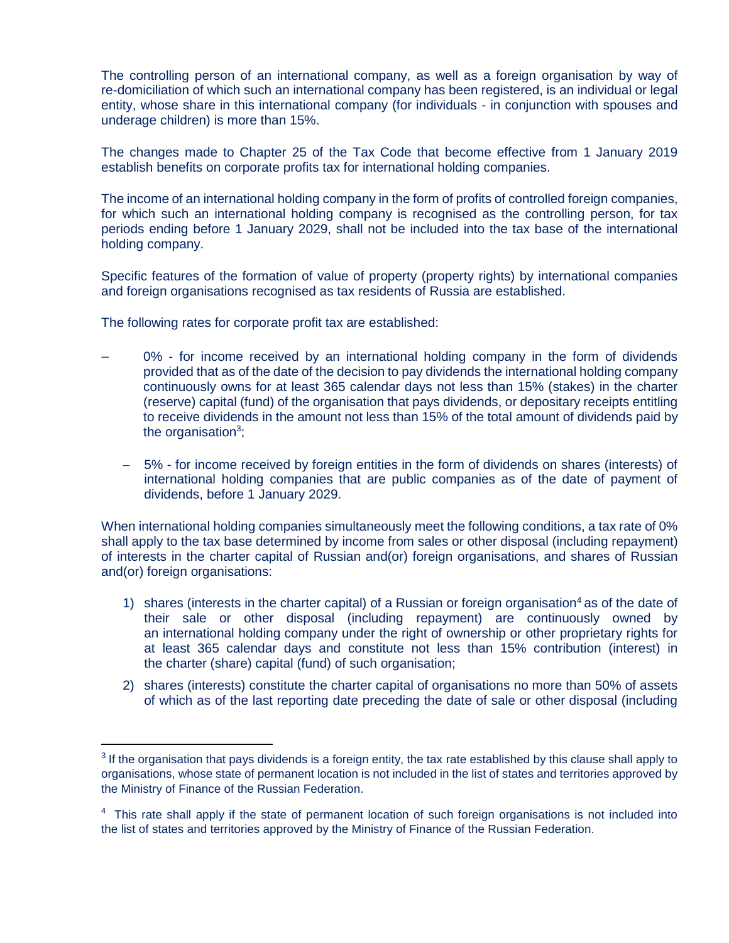The controlling person of an international company, as well as a foreign organisation by way of re-domiciliation of which such an international company has been registered, is an individual or legal entity, whose share in this international company (for individuals - in conjunction with spouses and underage children) is more than 15%.

The changes made to Chapter 25 of the Tax Code that become effective from 1 January 2019 establish benefits on corporate profits tax for international holding companies.

The income of an international holding company in the form of profits of controlled foreign companies, for which such an international holding company is recognised as the controlling person, for tax periods ending before 1 January 2029, shall not be included into the tax base of the international holding company.

Specific features of the formation of value of property (property rights) by international companies and foreign organisations recognised as tax residents of Russia are established.

The following rates for corporate profit tax are established:

 $\overline{a}$ 

- 0% for income received by an international holding company in the form of dividends provided that as of the date of the decision to pay dividends the international holding company continuously owns for at least 365 calendar days not less than 15% (stakes) in the charter (reserve) capital (fund) of the organisation that pays dividends, or depositary receipts entitling to receive dividends in the amount not less than 15% of the total amount of dividends paid by the organisation<sup>3</sup>;
	- 5% for income received by foreign entities in the form of dividends on shares (interests) of international holding companies that are public companies as of the date of payment of dividends, before 1 January 2029.

When international holding companies simultaneously meet the following conditions, a tax rate of 0% shall apply to the tax base determined by income from sales or other disposal (including repayment) of interests in the charter capital of Russian and(or) foreign organisations, and shares of Russian and(or) foreign organisations:

- 1) shares (interests in the charter capital) of a Russian or foreign organisation<sup>4</sup> as of the date of their sale or other disposal (including repayment) are continuously owned by an international holding company under the right of ownership or other proprietary rights for at least 365 calendar days and constitute not less than 15% contribution (interest) in the charter (share) capital (fund) of such organisation;
- 2) shares (interests) constitute the charter capital of organisations no more than 50% of assets of which as of the last reporting date preceding the date of sale or other disposal (including

 $3$  If the organisation that pays dividends is a foreign entity, the tax rate established by this clause shall apply to organisations, whose state of permanent location is not included in the list of states and territories approved by the Ministry of Finance of the Russian Federation.

<sup>&</sup>lt;sup>4</sup> This rate shall apply if the state of permanent location of such foreign organisations is not included into the list of states and territories approved by the Ministry of Finance of the Russian Federation.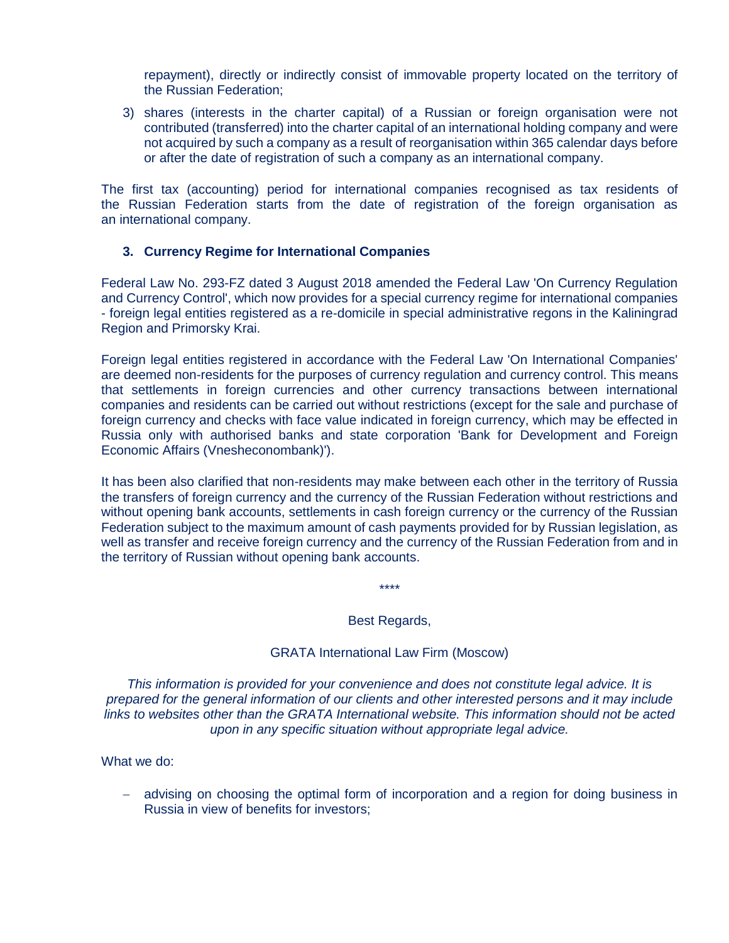repayment), directly or indirectly consist of immovable property located on the territory of the Russian Federation;

3) shares (interests in the charter capital) of a Russian or foreign organisation were not contributed (transferred) into the charter capital of an international holding company and were not acquired by such a company as a result of reorganisation within 365 calendar days before or after the date of registration of such a company as an international company.

The first tax (accounting) period for international companies recognised as tax residents of the Russian Federation starts from the date of registration of the foreign organisation as an international company.

## **3. Currency Regime for International Companies**

Federal Law No. 293-FZ dated 3 August 2018 amended the Federal Law 'On Currency Regulation and Currency Control', which now provides for a special currency regime for international companies - foreign legal entities registered as a re-domicile in special administrative regons in the Kaliningrad Region and Primorsky Krai.

Foreign legal entities registered in accordance with the Federal Law 'On International Companies' are deemed non-residents for the purposes of currency regulation and currency control. This means that settlements in foreign currencies and other currency transactions between international companies and residents can be carried out without restrictions (except for the sale and purchase of foreign currency and checks with face value indicated in foreign currency, which may be effected in Russia only with authorised banks and state corporation 'Bank for Development and Foreign Economic Affairs (Vnesheconombank)').

It has been also clarified that non-residents may make between each other in the territory of Russia the transfers of foreign currency and the currency of the Russian Federation without restrictions and without opening bank accounts, settlements in cash foreign currency or the currency of the Russian Federation subject to the maximum amount of cash payments provided for by Russian legislation, as well as transfer and receive foreign currency and the currency of the Russian Federation from and in the territory of Russian without opening bank accounts.

\*\*\*\*

### Best Regards,

### GRATA International Law Firm (Moscow)

*This information is provided for your convenience and does not constitute legal advice. It is prepared for the general information of our clients and other interested persons and it may include links to websites other than the GRATA International website. This information should not be acted upon in any specific situation without appropriate legal advice.*

What we do:

 advising on choosing the optimal form of incorporation and a region for doing business in Russia in view of benefits for investors;